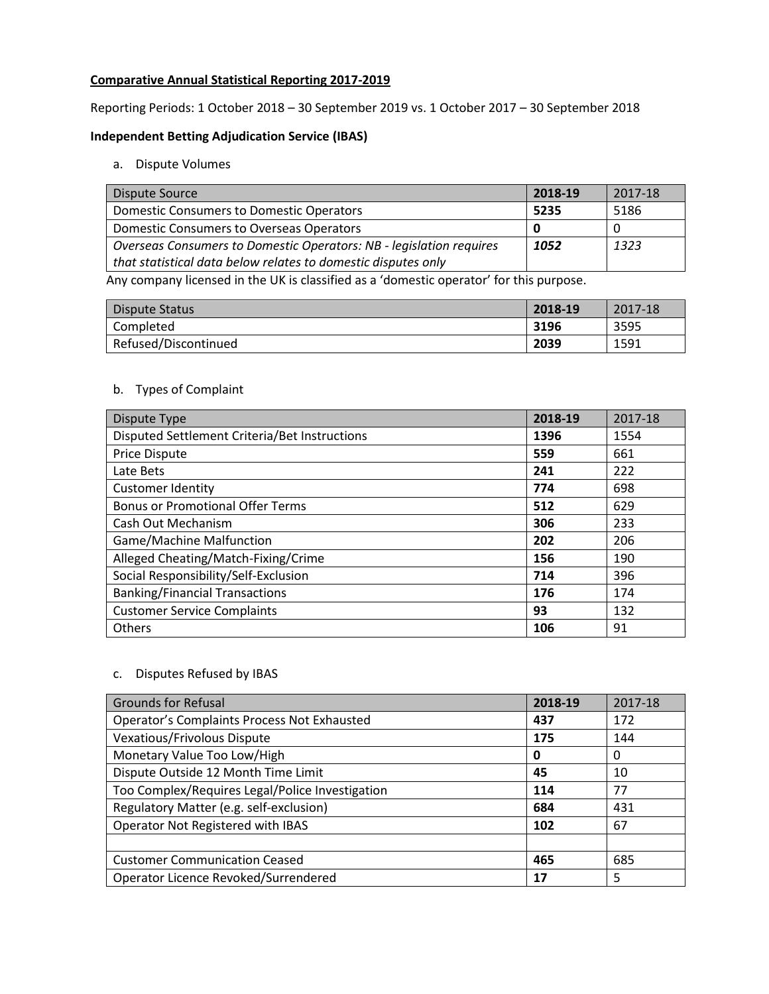# **Comparative Annual Statistical Reporting 2017-2019**

Reporting Periods: 1 October 2018 – 30 September 2019 vs. 1 October 2017 – 30 September 2018

## **Independent Betting Adjudication Service (IBAS)**

## a. Dispute Volumes

| <b>Dispute Source</b>                                               | 2018-19 | 2017-18 |
|---------------------------------------------------------------------|---------|---------|
| <b>Domestic Consumers to Domestic Operators</b>                     | 5235    | 5186    |
| Domestic Consumers to Overseas Operators                            |         |         |
| Overseas Consumers to Domestic Operators: NB - legislation requires | 1052    | 1323    |
| that statistical data below relates to domestic disputes only       |         |         |

Any company licensed in the UK is classified as a 'domestic operator' for this purpose.

| Dispute Status       | 2018-19 | 2017-18 |
|----------------------|---------|---------|
| Completed            | 3196    | 3595    |
| Refused/Discontinued | 2039    | 1591    |

# b. Types of Complaint

| Dispute Type                                  | 2018-19 | 2017-18 |
|-----------------------------------------------|---------|---------|
| Disputed Settlement Criteria/Bet Instructions | 1396    | 1554    |
| <b>Price Dispute</b>                          | 559     | 661     |
| Late Bets                                     | 241     | 222     |
| <b>Customer Identity</b>                      | 774     | 698     |
| <b>Bonus or Promotional Offer Terms</b>       | 512     | 629     |
| Cash Out Mechanism                            | 306     | 233     |
| <b>Game/Machine Malfunction</b>               | 202     | 206     |
| Alleged Cheating/Match-Fixing/Crime           | 156     | 190     |
| Social Responsibility/Self-Exclusion          | 714     | 396     |
| <b>Banking/Financial Transactions</b>         | 176     | 174     |
| <b>Customer Service Complaints</b>            | 93      | 132     |
| <b>Others</b>                                 | 106     | 91      |

## c. Disputes Refused by IBAS

| <b>Grounds for Refusal</b>                      | 2018-19 | 2017-18 |
|-------------------------------------------------|---------|---------|
| Operator's Complaints Process Not Exhausted     | 437     | 172     |
| Vexatious/Frivolous Dispute                     | 175     | 144     |
| Monetary Value Too Low/High                     | 0       | 0       |
| Dispute Outside 12 Month Time Limit             | 45      | 10      |
| Too Complex/Requires Legal/Police Investigation | 114     | 77      |
| Regulatory Matter (e.g. self-exclusion)         | 684     | 431     |
| Operator Not Registered with IBAS               | 102     | 67      |
|                                                 |         |         |
| <b>Customer Communication Ceased</b>            | 465     | 685     |
| Operator Licence Revoked/Surrendered            | 17      | 5       |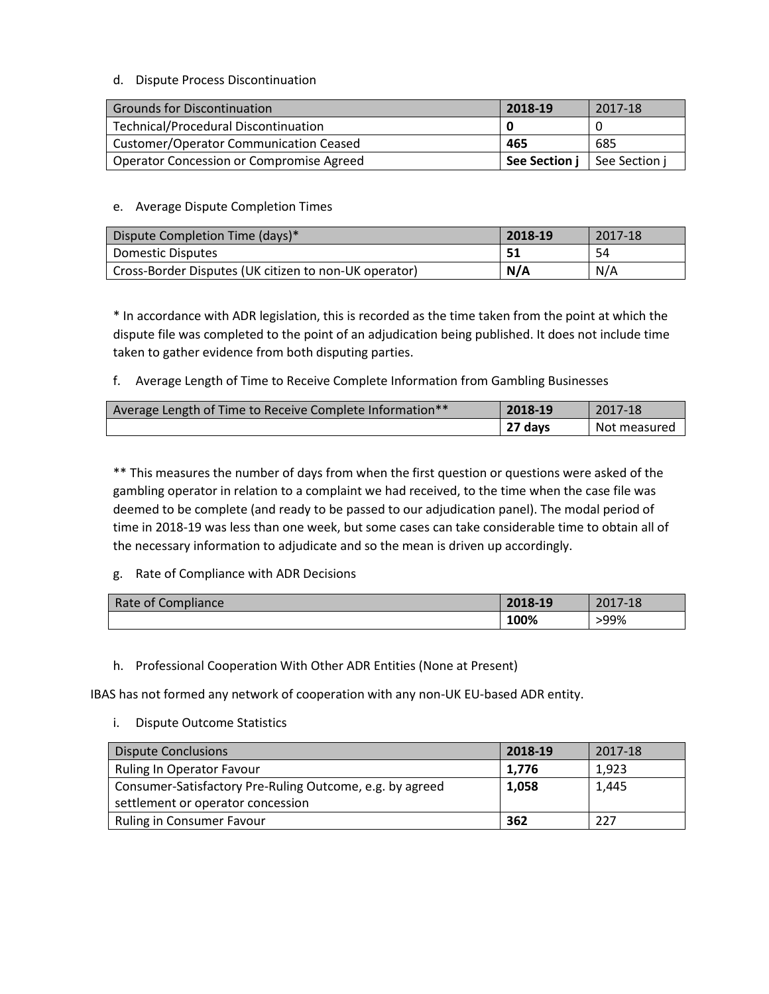# d. Dispute Process Discontinuation

| <b>Grounds for Discontinuation</b>            | 2018-19       | 2017-18       |
|-----------------------------------------------|---------------|---------------|
| <b>Technical/Procedural Discontinuation</b>   |               |               |
| <b>Customer/Operator Communication Ceased</b> | 465           | 685           |
| Operator Concession or Compromise Agreed      | See Section j | See Section i |

# e. Average Dispute Completion Times

| Dispute Completion Time (days)*                       | 2018-19 | 2017-18 |
|-------------------------------------------------------|---------|---------|
| Domestic Disputes                                     | -51     | 54      |
| Cross-Border Disputes (UK citizen to non-UK operator) | N/A     | N/A     |

\* In accordance with ADR legislation, this is recorded as the time taken from the point at which the dispute file was completed to the point of an adjudication being published. It does not include time taken to gather evidence from both disputing parties.

f. Average Length of Time to Receive Complete Information from Gambling Businesses

| Average Length of Time to Receive Complete Information** | 2018-19 | 2017-18      |
|----------------------------------------------------------|---------|--------------|
|                                                          | 27 days | Not measured |

\*\* This measures the number of days from when the first question or questions were asked of the gambling operator in relation to a complaint we had received, to the time when the case file was deemed to be complete (and ready to be passed to our adjudication panel). The modal period of time in 2018-19 was less than one week, but some cases can take considerable time to obtain all of the necessary information to adjudicate and so the mean is driven up accordingly.

# g. Rate of Compliance with ADR Decisions

| Rate of Compliance | 2018-19 | 2017-18 |
|--------------------|---------|---------|
|                    | 100%    | >99%    |

h. Professional Cooperation With Other ADR Entities (None at Present)

IBAS has not formed any network of cooperation with any non-UK EU-based ADR entity.

i. Dispute Outcome Statistics

| <b>Dispute Conclusions</b>                               | 2018-19 | 2017-18 |
|----------------------------------------------------------|---------|---------|
| Ruling In Operator Favour                                | 1.776   | 1,923   |
| Consumer-Satisfactory Pre-Ruling Outcome, e.g. by agreed | 1,058   | 1.445   |
| settlement or operator concession                        |         |         |
| <b>Ruling in Consumer Favour</b>                         | 362     | -227    |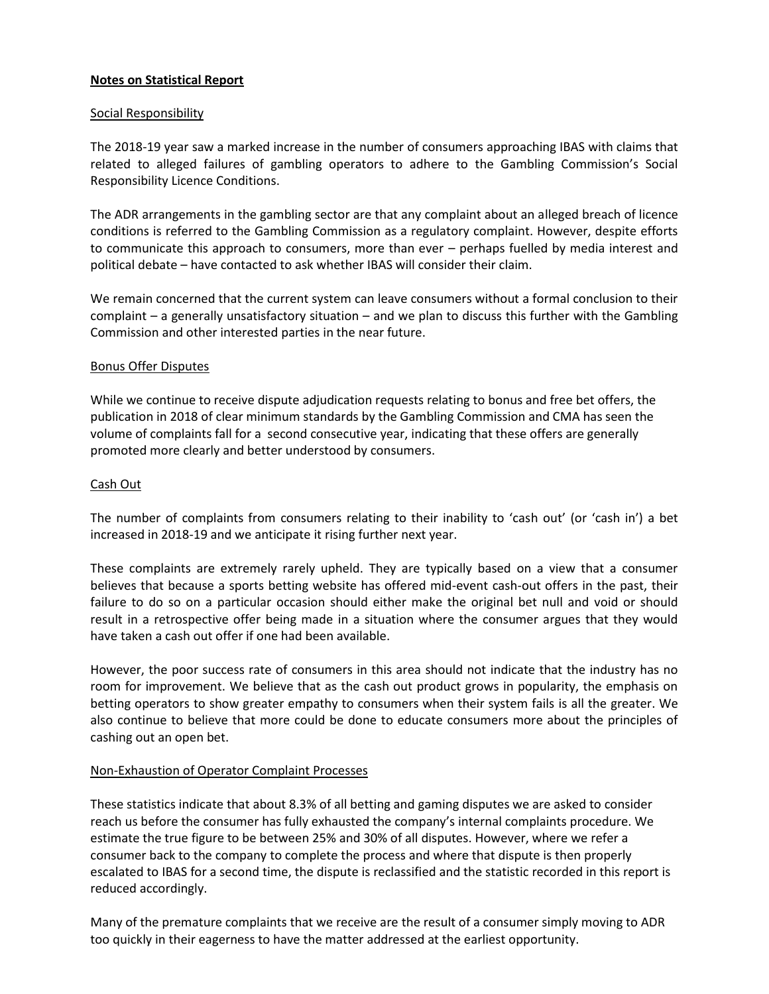# **Notes on Statistical Report**

#### Social Responsibility

The 2018-19 year saw a marked increase in the number of consumers approaching IBAS with claims that related to alleged failures of gambling operators to adhere to the Gambling Commission's Social Responsibility Licence Conditions.

The ADR arrangements in the gambling sector are that any complaint about an alleged breach of licence conditions is referred to the Gambling Commission as a regulatory complaint. However, despite efforts to communicate this approach to consumers, more than ever – perhaps fuelled by media interest and political debate – have contacted to ask whether IBAS will consider their claim.

We remain concerned that the current system can leave consumers without a formal conclusion to their complaint – a generally unsatisfactory situation – and we plan to discuss this further with the Gambling Commission and other interested parties in the near future.

#### Bonus Offer Disputes

While we continue to receive dispute adjudication requests relating to bonus and free bet offers, the publication in 2018 of clear minimum standards by the Gambling Commission and CMA has seen the volume of complaints fall for a second consecutive year, indicating that these offers are generally promoted more clearly and better understood by consumers.

#### Cash Out

The number of complaints from consumers relating to their inability to 'cash out' (or 'cash in') a bet increased in 2018-19 and we anticipate it rising further next year.

These complaints are extremely rarely upheld. They are typically based on a view that a consumer believes that because a sports betting website has offered mid-event cash-out offers in the past, their failure to do so on a particular occasion should either make the original bet null and void or should result in a retrospective offer being made in a situation where the consumer argues that they would have taken a cash out offer if one had been available.

However, the poor success rate of consumers in this area should not indicate that the industry has no room for improvement. We believe that as the cash out product grows in popularity, the emphasis on betting operators to show greater empathy to consumers when their system fails is all the greater. We also continue to believe that more could be done to educate consumers more about the principles of cashing out an open bet.

## Non-Exhaustion of Operator Complaint Processes

These statistics indicate that about 8.3% of all betting and gaming disputes we are asked to consider reach us before the consumer has fully exhausted the company's internal complaints procedure. We estimate the true figure to be between 25% and 30% of all disputes. However, where we refer a consumer back to the company to complete the process and where that dispute is then properly escalated to IBAS for a second time, the dispute is reclassified and the statistic recorded in this report is reduced accordingly.

Many of the premature complaints that we receive are the result of a consumer simply moving to ADR too quickly in their eagerness to have the matter addressed at the earliest opportunity.